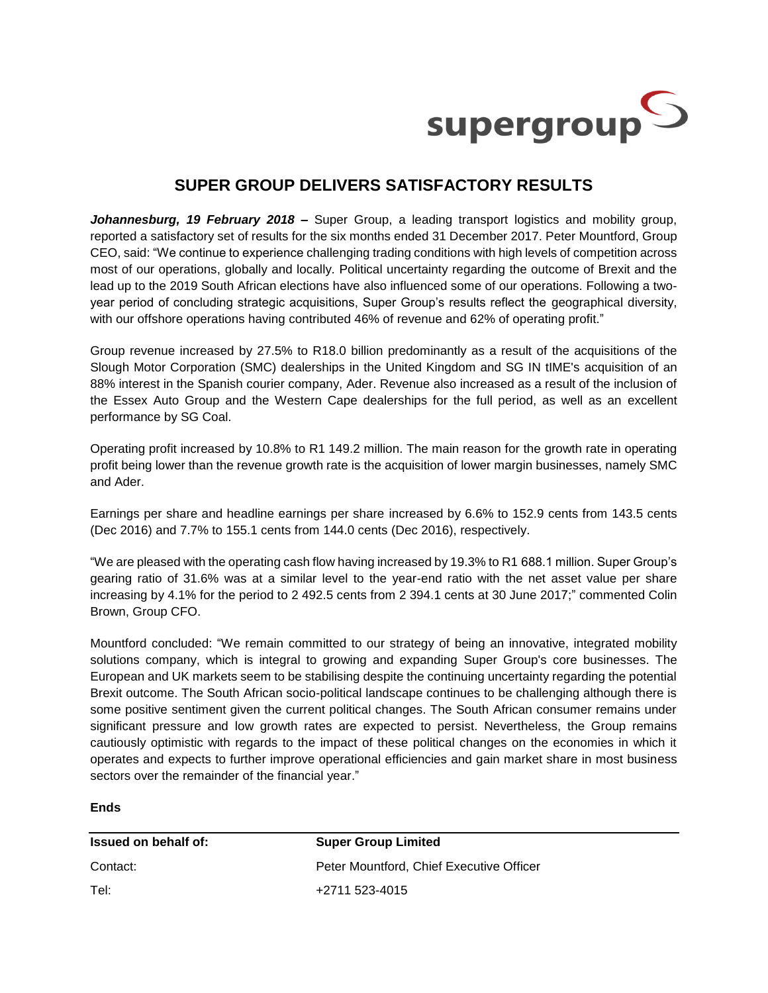

## **SUPER GROUP DELIVERS SATISFACTORY RESULTS**

*Johannesburg, 19 February 2018 –* Super Group, a leading transport logistics and mobility group, reported a satisfactory set of results for the six months ended 31 December 2017. Peter Mountford, Group CEO, said: "We continue to experience challenging trading conditions with high levels of competition across most of our operations, globally and locally. Political uncertainty regarding the outcome of Brexit and the lead up to the 2019 South African elections have also influenced some of our operations. Following a twoyear period of concluding strategic acquisitions, Super Group's results reflect the geographical diversity, with our offshore operations having contributed 46% of revenue and 62% of operating profit."

Group revenue increased by 27.5% to R18.0 billion predominantly as a result of the acquisitions of the Slough Motor Corporation (SMC) dealerships in the United Kingdom and SG IN tIME's acquisition of an 88% interest in the Spanish courier company, Ader. Revenue also increased as a result of the inclusion of the Essex Auto Group and the Western Cape dealerships for the full period, as well as an excellent performance by SG Coal.

Operating profit increased by 10.8% to R1 149.2 million. The main reason for the growth rate in operating profit being lower than the revenue growth rate is the acquisition of lower margin businesses, namely SMC and Ader.

Earnings per share and headline earnings per share increased by 6.6% to 152.9 cents from 143.5 cents (Dec 2016) and 7.7% to 155.1 cents from 144.0 cents (Dec 2016), respectively.

"We are pleased with the operating cash flow having increased by 19.3% to R1 688.1 million. Super Group's gearing ratio of 31.6% was at a similar level to the year-end ratio with the net asset value per share increasing by 4.1% for the period to 2 492.5 cents from 2 394.1 cents at 30 June 2017;" commented Colin Brown, Group CFO.

Mountford concluded: "We remain committed to our strategy of being an innovative, integrated mobility solutions company, which is integral to growing and expanding Super Group's core businesses. The European and UK markets seem to be stabilising despite the continuing uncertainty regarding the potential Brexit outcome. The South African socio-political landscape continues to be challenging although there is some positive sentiment given the current political changes. The South African consumer remains under significant pressure and low growth rates are expected to persist. Nevertheless, the Group remains cautiously optimistic with regards to the impact of these political changes on the economies in which it operates and expects to further improve operational efficiencies and gain market share in most business sectors over the remainder of the financial year."

## **Ends**

| <b>Issued on behalf of:</b> | <b>Super Group Limited</b>               |
|-----------------------------|------------------------------------------|
| Contact:                    | Peter Mountford, Chief Executive Officer |
| Tel:                        | +2711 523-4015                           |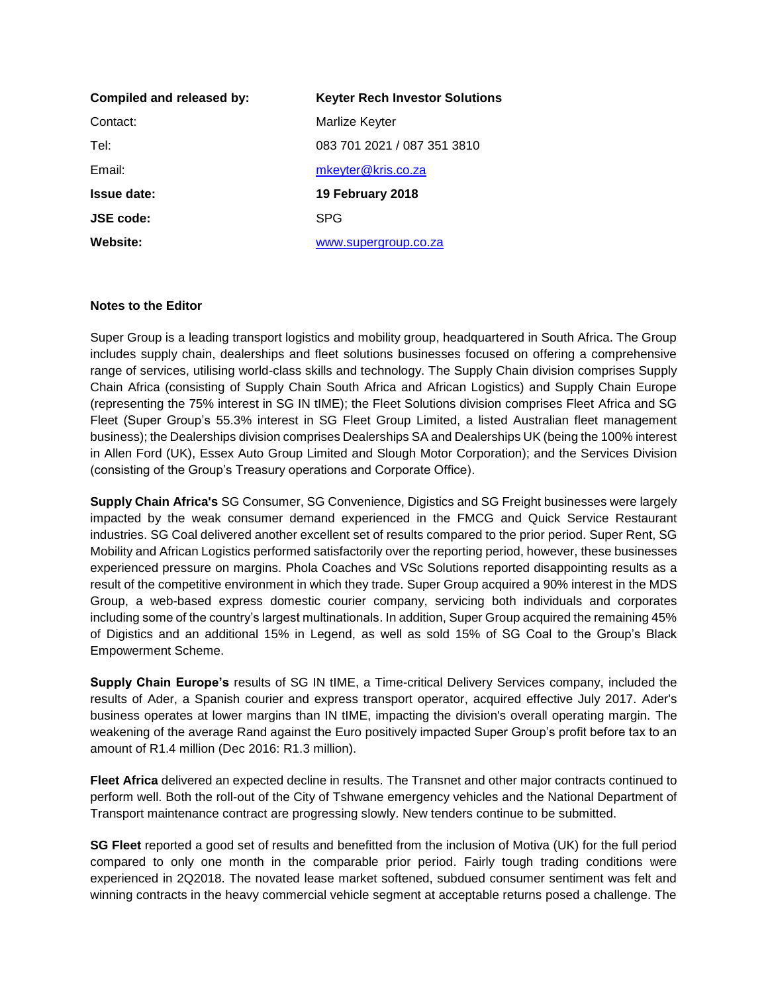| Compiled and released by: | <b>Keyter Rech Investor Solutions</b> |
|---------------------------|---------------------------------------|
| Contact:                  | Marlize Keyter                        |
| Tel:                      | 083 701 2021 / 087 351 3810           |
| Email:                    | mkeyter@kris.co.za                    |
| <b>Issue date:</b>        | 19 February 2018                      |
| <b>JSE code:</b>          | <b>SPG</b>                            |
| Website:                  | www.supergroup.co.za                  |

## **Notes to the Editor**

Super Group is a leading transport logistics and mobility group, headquartered in South Africa. The Group includes supply chain, dealerships and fleet solutions businesses focused on offering a comprehensive range of services, utilising world-class skills and technology. The Supply Chain division comprises Supply Chain Africa (consisting of Supply Chain South Africa and African Logistics) and Supply Chain Europe (representing the 75% interest in SG IN tIME); the Fleet Solutions division comprises Fleet Africa and SG Fleet (Super Group's 55.3% interest in SG Fleet Group Limited, a listed Australian fleet management business); the Dealerships division comprises Dealerships SA and Dealerships UK (being the 100% interest in Allen Ford (UK), Essex Auto Group Limited and Slough Motor Corporation); and the Services Division (consisting of the Group's Treasury operations and Corporate Office).

**Supply Chain Africa's** SG Consumer, SG Convenience, Digistics and SG Freight businesses were largely impacted by the weak consumer demand experienced in the FMCG and Quick Service Restaurant industries. SG Coal delivered another excellent set of results compared to the prior period. Super Rent, SG Mobility and African Logistics performed satisfactorily over the reporting period, however, these businesses experienced pressure on margins. Phola Coaches and VSc Solutions reported disappointing results as a result of the competitive environment in which they trade. Super Group acquired a 90% interest in the MDS Group, a web-based express domestic courier company, servicing both individuals and corporates including some of the country's largest multinationals. In addition, Super Group acquired the remaining 45% of Digistics and an additional 15% in Legend, as well as sold 15% of SG Coal to the Group's Black Empowerment Scheme.

**Supply Chain Europe's** results of SG IN tIME, a Time-critical Delivery Services company, included the results of Ader, a Spanish courier and express transport operator, acquired effective July 2017. Ader's business operates at lower margins than IN tIME, impacting the division's overall operating margin. The weakening of the average Rand against the Euro positively impacted Super Group's profit before tax to an amount of R1.4 million (Dec 2016: R1.3 million).

**Fleet Africa** delivered an expected decline in results. The Transnet and other major contracts continued to perform well. Both the roll-out of the City of Tshwane emergency vehicles and the National Department of Transport maintenance contract are progressing slowly. New tenders continue to be submitted.

**SG Fleet** reported a good set of results and benefitted from the inclusion of Motiva (UK) for the full period compared to only one month in the comparable prior period. Fairly tough trading conditions were experienced in 2Q2018. The novated lease market softened, subdued consumer sentiment was felt and winning contracts in the heavy commercial vehicle segment at acceptable returns posed a challenge. The